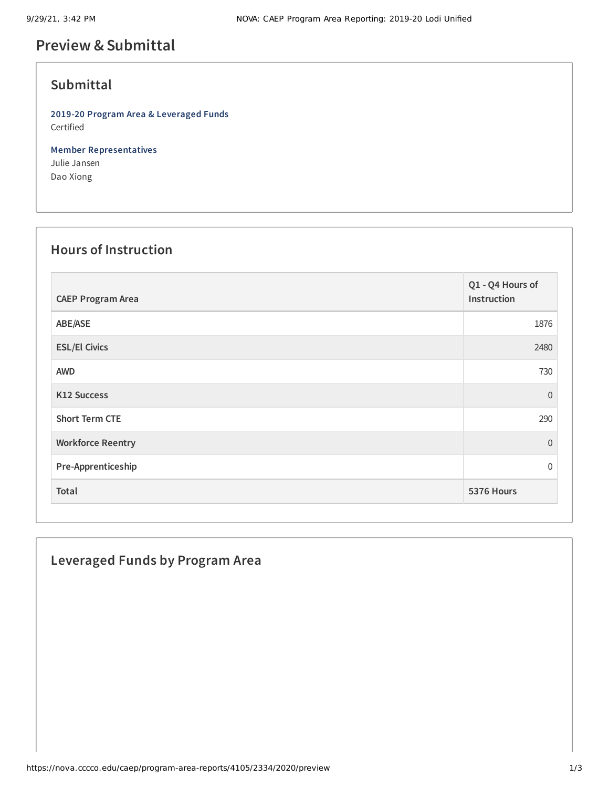## **Preview &Submittal**

## **Submittal**

**2019-20 Program Area & Leveraged Funds** Certified

**Member Representatives** Julie Jansen Dao Xiong

### **Hours of Instruction**

| <b>CAEP Program Area</b> | Q1 - Q4 Hours of<br>Instruction |
|--------------------------|---------------------------------|
| ABE/ASE                  | 1876                            |
| <b>ESL/El Civics</b>     | 2480                            |
| <b>AWD</b>               | 730                             |
| <b>K12 Success</b>       | $\overline{0}$                  |
| <b>Short Term CTE</b>    | 290                             |
| <b>Workforce Reentry</b> | $\Omega$                        |
| Pre-Apprenticeship       | $\mathbf 0$                     |
| Total                    | 5376 Hours                      |

# **Leveraged Funds by Program Area**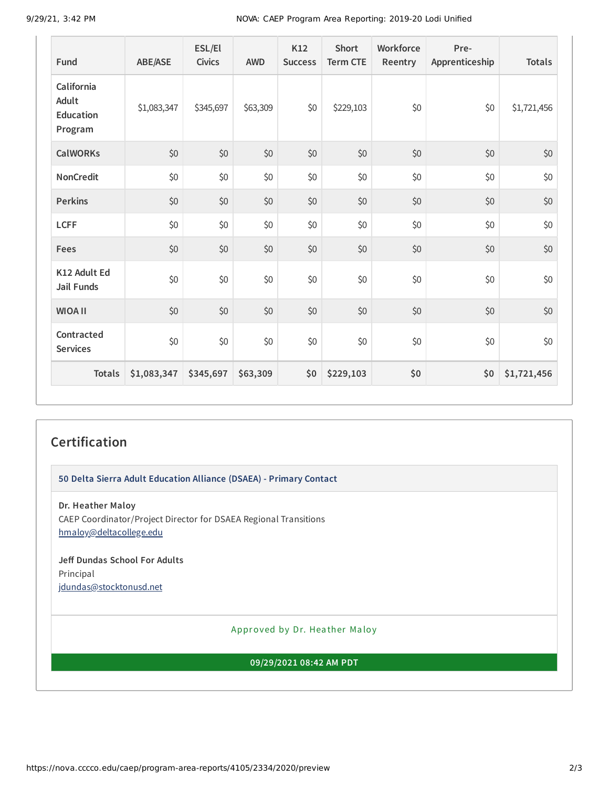9/29/21, 3:42 PM NOVA: CAEP Program Area Reporting: 2019-20 Lodi Unified

| Fund                                               | ABE/ASE     | ESL/El<br><b>Civics</b> | <b>AWD</b> | K12<br><b>Success</b> | <b>Short</b><br><b>Term CTE</b> | Workforce<br>Reentry | Pre-<br>Apprenticeship | <b>Totals</b> |
|----------------------------------------------------|-------------|-------------------------|------------|-----------------------|---------------------------------|----------------------|------------------------|---------------|
| California<br>Adult<br><b>Education</b><br>Program | \$1,083,347 | \$345,697               | \$63,309   | \$0                   | \$229,103                       | \$0                  | \$0                    | \$1,721,456   |
| <b>CalWORKs</b>                                    | \$0         | $$0$$                   | \$0        | \$0                   | \$0                             | \$0                  | \$0                    | \$0           |
| <b>NonCredit</b>                                   | \$0         | \$0                     | \$0        | \$0                   | \$0                             | \$0                  | \$0                    | \$0           |
| <b>Perkins</b>                                     | \$0         | \$0                     | \$0        | \$0                   | \$0                             | \$0                  | \$0                    | \$0           |
| <b>LCFF</b>                                        | \$0         | \$0                     | \$0        | \$0                   | \$0                             | \$0                  | \$0                    | \$0           |
| <b>Fees</b>                                        | \$0         | $$0$$                   | \$0        | \$0                   | \$0                             | \$0                  | \$0                    | \$0           |
| K12 Adult Ed<br><b>Jail Funds</b>                  | \$0         | $$0$$                   | \$0        | \$0                   | \$0                             | \$0                  | \$0                    | \$0           |
| <b>WIOA II</b>                                     | \$0         | \$0                     | \$0        | \$0                   | \$0                             | \$0                  | \$0                    | \$0           |
| Contracted<br><b>Services</b>                      | \$0         | \$0                     | \$0        | \$0                   | \$0                             | \$0                  | \$0                    | \$0           |
| <b>Totals</b>                                      | \$1,083,347 | \$345,697               | \$63,309   | \$0                   | \$229,103                       | \$0                  | \$0                    | \$1,721,456   |

## **Certification**

**50 Delta Sierra Adult Education Alliance (DSAEA) - Primary Contact**

**Dr. Heather Maloy** CAEP Coordinator/Project Director for DSAEA Regional Transitions [hmaloy@deltacollege.edu](mailto:hmaloy@deltacollege.edu)

**Jeff Dundas School For Adults** Principal [jdundas@stocktonusd.net](mailto:jdundas@stocktonusd.net)

Approved by Dr. Heather Maloy

**09/29/2021 08:42 AM PDT**